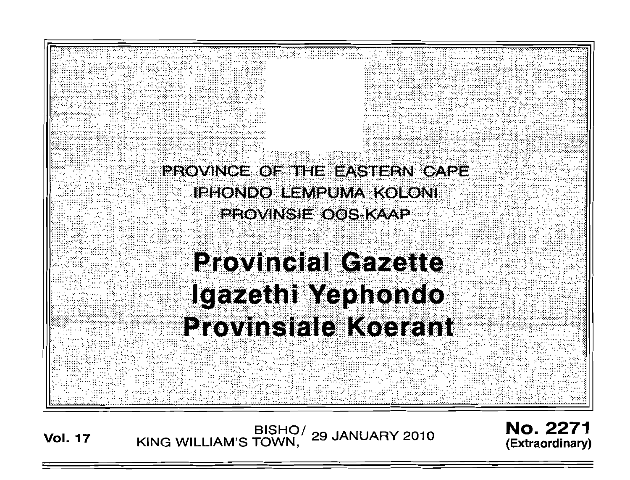

**Vol. 17**

**BISHO/ KING WILLIAM'S TOWN, 29 JANUARY 2010** No. 2271 **(Extraordinary)**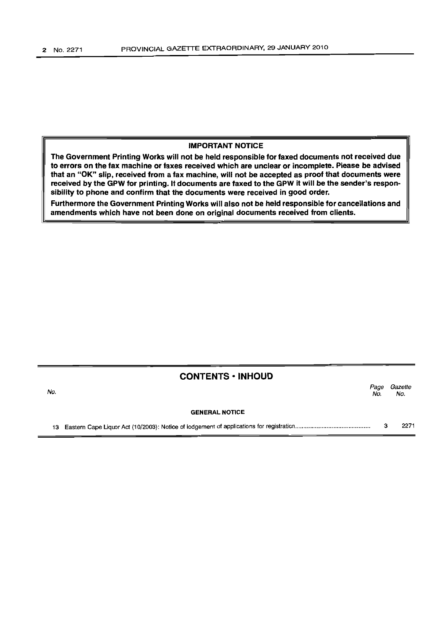## IMPORTANT NOTICE

The Government Printing Works will not be held responsible for faxed documents not received due to errors on the fax machine or faxes received which are unclear or incomplete. Please be advised that an "OK" slip, received from a fax machine, will not be accepted as proof that documents were received by the GPW for printing. If documents are faxed to the GPW it will be the sender's responsibility to phone and confirm that the documents were received in good order.

Furthermore the Government Printing Works will also not be held responsible for cancellations and amendments which have not been done on original documents received from clients.

# CONTENTS • INHOUD

| No. |                       | Page<br>No. | Gazette<br>No. |
|-----|-----------------------|-------------|----------------|
|     | <b>GENERAL NOTICE</b> |             |                |
|     |                       |             | 2271           |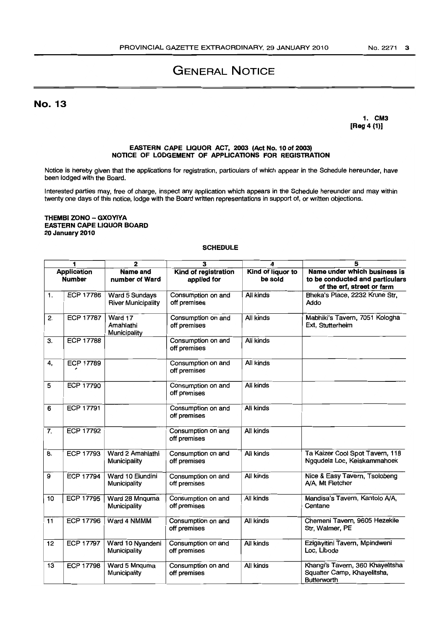# GENERAL NOTICE

No. 13

1. CM3 [Reg 4 (1)]

#### EASTERN CAPE UQUOR ACT, 2003 (Act No. 10 of 2003) NOTICE OF LODGEMENT OF APPUCATIONS FOR REGISTRATION

Notice is hereby given that the applications for registration, particulars of which appear in the Schedule hereunder, have been lodged with the Board.

Interested parties may, free of charge, inspect any application which appears in the Schedule hereunder and may within twenty one days of this notice, lodge with the Board written representations in support of, or written objections.

#### THEMBI ZONO - GXOYlYA EASTERN CAPE LIQUOR BOARD 20 January 2010

## **SCHEDULE**

| 1                                   |                  | $\overline{2}$                              | $\overline{\mathbf{3}}$             | 4                            | $\overline{\mathbf{5}}$                                                                       |
|-------------------------------------|------------------|---------------------------------------------|-------------------------------------|------------------------------|-----------------------------------------------------------------------------------------------|
| <b>Application</b><br><b>Number</b> |                  | <b>Name and</b><br>number of Ward           | Kind of registration<br>applied for | Kind of liquor to<br>be sold | Name under which business is<br>to be conducted and particulars<br>of the erf, street or farm |
| 1.                                  | <b>ECP 17786</b> | Ward 5 Sundays<br><b>River Municipality</b> | Consumption on and<br>off premises  | All kinds                    | Bheka's Place, 2232 Krune Str,<br>Addo                                                        |
| 2.                                  | <b>ECP 17787</b> | Ward 17<br>Amahlathi<br>Municipality        | Consumption on and<br>off premises  | All kinds                    | Mabhiki's Tavern, 7051 Kologha<br>Ext, Stutterheim                                            |
| $\overline{3}$ .                    | <b>ECP 17788</b> |                                             | Consumption on and<br>off premises  | <b>All kinds</b>             |                                                                                               |
| 4,                                  | <b>ECP 17789</b> |                                             | Consumption on and<br>off premises  | All kinds                    |                                                                                               |
| 5                                   | ECP 17790        |                                             | Consumption on and<br>off premises  | All kinds                    |                                                                                               |
| 6                                   | <b>ECP 17791</b> |                                             | Consumption on and<br>off premises  | All kinds                    |                                                                                               |
| 7.                                  | ECP 17792        |                                             | Consumption on and<br>off premises  | All kinds                    |                                                                                               |
| 8.                                  | <b>ECP 17793</b> | Ward 2 Amahlathi<br>Municipality            | Consumption on and<br>off premises  | All kinds                    | Ta Kaizer Cool Spot Tavern, 118<br>Ngqudela Loc, Keiskammahoek                                |
| 9                                   | <b>ECP 17794</b> | Ward 10 Elundini<br>Municipality            | Consumption on and<br>off premises  | All kinds                    | Nice & Easy Tavern, Tsolobeng<br>A/A, Mt Fletcher                                             |
| 10                                  | <b>ECP 17795</b> | Ward 28 Mnguma<br>Municipality              | Consumption on and<br>off premises  | All kinds                    | Mandisa's Tavern, Kantolo A/A,<br>Centane                                                     |
| 11                                  | <b>ECP 17796</b> | Ward 4 NMMM                                 | Consumption on and<br>off premises  | All kinds                    | Chemeni Tavern, 9605 Hezekile<br>Str, Walmer, PE                                              |
| 12                                  | <b>ECP 17797</b> | Ward 10 Nyandeni<br>Municipality            | Consumption on and<br>off premises  | All kinds                    | Ezigayitini Tavern, Mpindweni<br>Loc, Libode                                                  |
| 13                                  | <b>ECP 17798</b> | Ward 5 Mnquma<br>Municipality               | Consumption on and<br>off premises  | <b>All kinds</b>             | Khangi's Tavern, 360 Khayelitsha<br>Squatter Camp, Khayelitsha,<br><b>Butterworth</b>         |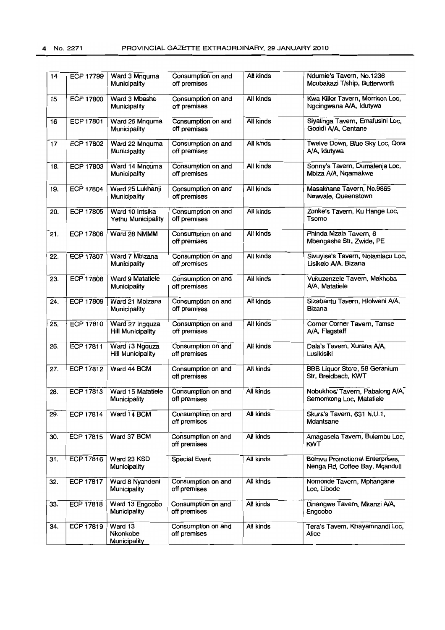| 14              | <b>ECP 17799</b> | Ward 3 Mnquma<br>Municipality               | Consumption on and<br>off premises | All kinds        | Ndumie's Tavern, No.1236<br>Mcubakazi T/ship, Butterworth               |  |
|-----------------|------------------|---------------------------------------------|------------------------------------|------------------|-------------------------------------------------------------------------|--|
| 15              | <b>ECP 17800</b> | Ward 3 Mbashe<br>Municipality               | Consumption on and<br>off premises | <b>All kinds</b> | Kwa Killer Tavern, Morrison Loc,<br>Ngcingwana A/A, Idutywa             |  |
| 16              | ECP 17801        | Ward 26 Mnquma<br>Municipality              | Consumption on and<br>off premises | <b>All kinds</b> | Siyalinga Tavern, Emafusini Loc,<br>Godidi A/A, Centane                 |  |
| $\overline{17}$ | <b>ECP 17802</b> | Ward 22 Mnquma<br>Municipality              | Consumption on and<br>off premises | All kinds        | Twelve Down, Blue Sky Loc, Qora<br>A/A, Idutywa                         |  |
| 18.             | <b>ECP 17803</b> | Ward 14 Mnquma<br>Municipality              | Consumption on and<br>off premises | All kinds        | Sonny's Tavern, Dumalenja Loc,<br>Mbiza A/A, Ngamakwe                   |  |
| 19.             | <b>ECP 17804</b> | Ward 25 Lukhanji<br>Municipality            | Consumption on and<br>off premises | All kinds        | Masakhane Tavern, No.9865<br>Newvale, Queenstown                        |  |
| 20.             | <b>ECP 17805</b> | Ward 10 Intsika<br>Yethu Municipality       | Consumption on and<br>off premises | Ali kinds        | Zonke's Tavern, Ku Hange Loc,<br>Tsomo                                  |  |
| 21.             | <b>ECP 17806</b> | Ward 28 NMMM                                | Consumption on and<br>off premises | All kinds        | Phinda Mzala Tavern, 6<br>Mbengashe Str, Zwide, PE                      |  |
| 22.             | <b>ECP 17807</b> | Ward 7 Mbizana<br>Municipality              | Consumption on and<br>off premises | All kinds        | Sivuyise's Tavern, Nolamlacu Loc,<br>Lisikelo A/A, Bizana               |  |
| 23.             | <b>ECP 17808</b> | Ward 9 Matatiele<br>Municipality            | Consumption on and<br>off premises | All kinds        | Vukuzenzele Tavern, Makhoba<br>A/A, Matatiele                           |  |
| 24.             | <b>ECP 17809</b> | Ward 21 Mbizana<br>Municipality             | Consumption on and<br>off premises | All kinds        | Sizabantu Tavern, Hlolweni A/A,<br>Bizana                               |  |
| 25.             | ECP 17810        | Ward 27 Ingquza<br><b>Hill Municipality</b> | Consumption on and<br>off premises | All kinds        | Corner Corner Tavern, Tamse<br>A/A, Flagstaff                           |  |
| 26.             | <b>ECP 17811</b> | Ward 13 Ngquza<br><b>Hill Municipality</b>  | Consumption on and<br>off premises | All kinds        | Dala's Tavern, Xurana A/A,<br>Lusikisiki                                |  |
| 27.             | <b>ECP 17812</b> | Ward 44 BCM                                 | Consumption on and<br>off premises | All kinds        | <b>BBB Liquor Store, 58 Geranium</b><br>Str, Breidbach, KWT             |  |
| 28.             | ECP 17813        | Ward 15 Matatiele<br>Municipality           | Consumption on and<br>off premises | All kinds        | Nobukhosi Tavern, Pabalong A/A,<br>Semonkong Loc, Matatiele             |  |
| 29.             | <b>ECP 17814</b> | Ward 14 BCM                                 | Consumption on and<br>off premises | All kinds        | Skura's Tavern, 631 N.U.1,<br>Mdantsane                                 |  |
| 30.             | ECP 17815        | Ward 37 BCM                                 | Consumption on and<br>off premises | All kinds        | Amagasela Tavern, Bulembu Loc,<br><b>KWT</b>                            |  |
| 31.             | <b>ECP 17816</b> | Ward 23 KSD<br>Municipality                 | <b>Special Event</b>               | All kinds        | <b>Bomvu Promotional Enterprises,</b><br>Nenga Rd, Coffee Bay, Mqanduli |  |
| 32.             | <b>ECP 17817</b> | Ward 8 Nyandeni<br>Municipality             | Consumption on and<br>off premises | All kinds        | Nomonde Tavern, Mphangane<br>Loc, Libode                                |  |
| 33.             | <b>ECP 17818</b> | Ward 13 Engcobo<br>Municipality             | Consumption on and<br>off premises | All kinds        | Dinangwe Tavern, Mkanzi A/A,<br>Engcobo                                 |  |
| 34.             | <b>ECP 17819</b> | Ward 13<br>Nkonkobe<br>Municipality         | Consumption on and<br>off premises | All kinds        | Tera's Tavern, Khayamnandi Loc,<br><b>Alice</b>                         |  |